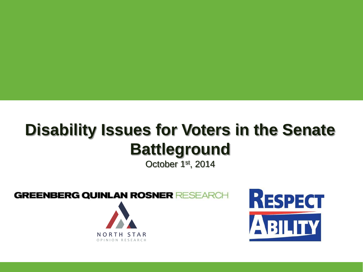# **Disability Issues for Voters in the Senate Battleground**

October 1st, 2014

**GREENBERG QUINLAN ROSNER RESEARCH** 



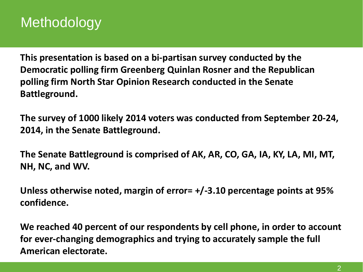### Methodology

**This presentation is based on a bi-partisan survey conducted by the Democratic polling firm Greenberg Quinlan Rosner and the Republican polling firm North Star Opinion Research conducted in the Senate Battleground.** 

**The survey of 1000 likely 2014 voters was conducted from September 20-24, 2014, in the Senate Battleground.**

**The Senate Battleground is comprised of AK, AR, CO, GA, IA, KY, LA, MI, MT, NH, NC, and WV.**

**Unless otherwise noted, margin of error= +/-3.10 percentage points at 95% confidence.**

**We reached 40 percent of our respondents by cell phone, in order to account for ever-changing demographics and trying to accurately sample the full American electorate.**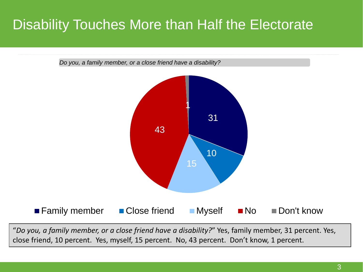### Disability Touches More than Half the Electorate



"*Do you, a family member, or a close friend have a disability?*" Yes, family member, 31 percent. Yes, close friend, 10 percent. Yes, myself, 15 percent. No, 43 percent. Don't know, 1 percent.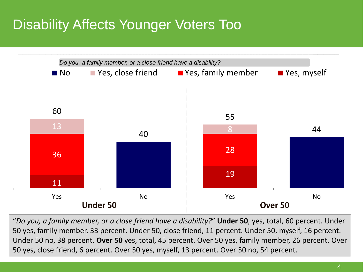## Disability Affects Younger Voters Too



"*Do you, a family member, or a close friend have a disability?*" **Under 50**, yes, total, 60 percent. Under 50 yes, family member, 33 percent. Under 50, close friend, 11 percent. Under 50, myself, 16 percent. Under 50 no, 38 percent. **Over 50** yes, total, 45 percent. Over 50 yes, family member, 26 percent. Over 50 yes, close friend, 6 percent. Over 50 yes, myself, 13 percent. Over 50 no, 54 percent.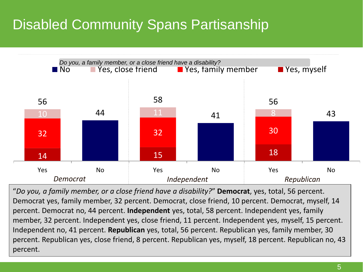## Disabled Community Spans Partisanship



"*Do you, a family member, or a close friend have a disability?*" **Democrat**, yes, total, 56 percent. Democrat yes, family member, 32 percent. Democrat, close friend, 10 percent. Democrat, myself, 14 percent. Democrat no, 44 percent. **Independent** yes, total, 58 percent. Independent yes, family member, 32 percent. Independent yes, close friend, 11 percent. Independent yes, myself, 15 percent. Independent no, 41 percent. **Republican** yes, total, 56 percent. Republican yes, family member, 30 percent. Republican yes, close friend, 8 percent. Republican yes, myself, 18 percent. Republican no, 43 percent.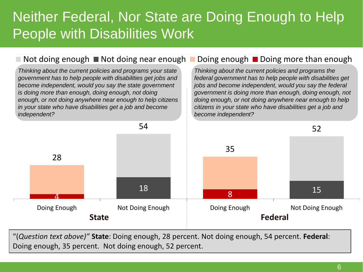### Neither Federal, Nor State are Doing Enough to Help People with Disabilities Work

#### Not doing enough  $\blacksquare$  Not doing near enough  $\blacksquare$  Doing  $\blacksquare$  Doing more than enough

*Thinking about the current policies and programs your state government has to help people with disabilities get jobs and become independent, would you say the state government is doing more than enough, doing enough, not doing enough, or not doing anywhere near enough to help citizens in your state who have disabilities get a job and become independent?*

*Thinking about the current policies and programs the federal government has to help people with disabilities get jobs and become independent, would you say the federal government is doing more than enough, doing enough, not doing enough, or not doing anywhere near enough to help citizens in your state who have disabilities get a job and become independent?*



"(*Question text above)"* **State**: Doing enough, 28 percent. Not doing enough, 54 percent. **Federal**: Doing enough, 35 percent. Not doing enough, 52 percent.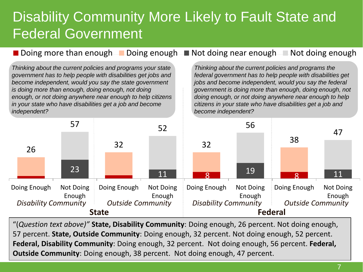### Disability Community More Likely to Fault State and Federal Government

Doing more than enough Doing enough Not doing near enough Not doing enough

*Thinking about the current policies and programs your state government has to help people with disabilities get jobs and become independent, would you say the state government is doing more than enough, doing enough, not doing enough, or not doing anywhere near enough to help citizens in your state who have disabilities get a job and become independent?*

*Thinking about the current policies and programs the federal government has to help people with disabilities get jobs and become independent, would you say the federal government is doing more than enough, doing enough, not doing enough, or not doing anywhere near enough to help citizens in your state who have disabilities get a job and become independent?*



"(*Question text above)"* **State, Disability Community**: Doing enough, 26 percent. Not doing enough, 57 percent. **State, Outside Community**: Doing enough, 32 percent. Not doing enough, 52 percent. **Federal, Disability Community**: Doing enough, 32 percent. Not doing enough, 56 percent. **Federal, Outside Community**: Doing enough, 38 percent. Not doing enough, 47 percent.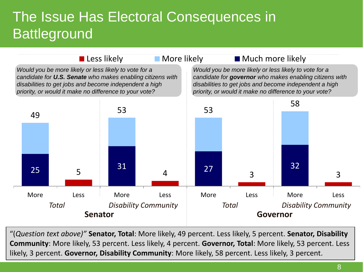### The Issue Has Electoral Consequences in **Battleground**



"(*Question text above)"* **Senator, Total**: More likely, 49 percent. Less likely, 5 percent. **Senator, Disability Community**: More likely, 53 percent. Less likely, 4 percent. **Governor, Total**: More likely, 53 percent. Less likely, 3 percent. **Governor, Disability Community**: More likely, 58 percent. Less likely, 3 percent.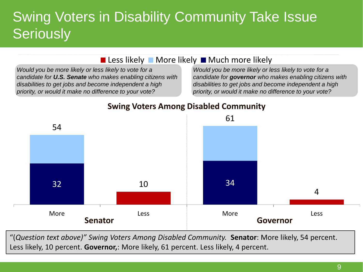### Swing Voters in Disability Community Take Issue **Seriously**

#### Less likely More likely Much more likely

*Would you be more likely or less likely to vote for a candidate for U.S. Senate who makes enabling citizens with disabilities to get jobs and become independent a high priority, or would it make no difference to your vote?*

*Would you be more likely or less likely to vote for a candidate for governor who makes enabling citizens with disabilities to get jobs and become independent a high priority, or would it make no difference to your vote?*



#### **Swing Voters Among Disabled Community**

"(*Question text above)" Swing Voters Among Disabled Community.* **Senator**: More likely, 54 percent. Less likely, 10 percent. **Governor,**: More likely, 61 percent. Less likely, 4 percent.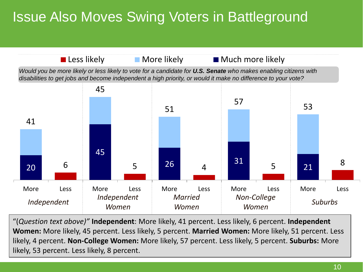## Issue Also Moves Swing Voters in Battleground



"(*Question text above)"* **Independent**: More likely, 41 percent. Less likely, 6 percent. **Independent Women:** More likely, 45 percent. Less likely, 5 percent. **Married Women:** More likely, 51 percent. Less likely, 4 percent. **Non-College Women:** More likely, 57 percent. Less likely, 5 percent. **Suburbs:** More likely, 53 percent. Less likely, 8 percent.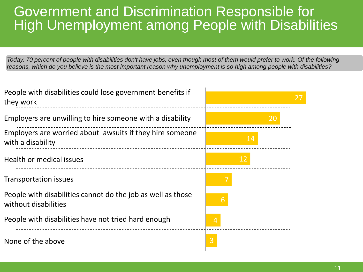#### Government and Discrimination Responsible for High Unemployment among People with Disabilities

*Today, 70 percent of people with disabilities don't have jobs, even though most of them would prefer to work. Of the following reasons, which do you believe is the most important reason why unemployment is so high among people with disabilities?*

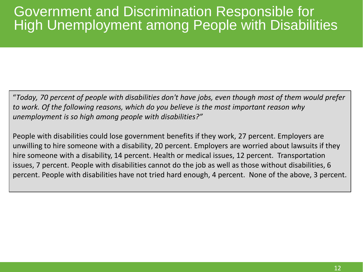#### Government and Discrimination Responsible for High Unemployment among People with Disabilities

"*Today, 70 percent of people with disabilities don't have jobs, even though most of them would prefer to work. Of the following reasons, which do you believe is the most important reason why unemployment is so high among people with disabilities?"* 

People with disabilities could lose government benefits if they work, 27 percent. Employers are unwilling to hire someone with a disability, 20 percent. Employers are worried about lawsuits if they hire someone with a disability, 14 percent. Health or medical issues, 12 percent. Transportation issues, 7 percent. People with disabilities cannot do the job as well as those without disabilities, 6 percent. People with disabilities have not tried hard enough, 4 percent. None of the above, 3 percent.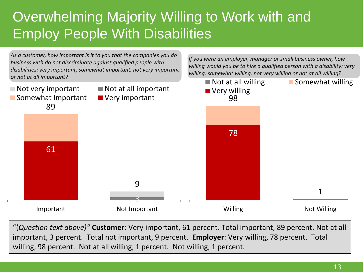## Overwhelming Majority Willing to Work with and Employ People With Disabilities



"(*Question text above)"* **Customer**: Very important, 61 percent. Total important, 89 percent. Not at all important, 3 percent. Total not important, 9 percent. **Employer**: Very willing, 78 percent. Total willing, 98 percent. Not at all willing, 1 percent. Not willing, 1 percent.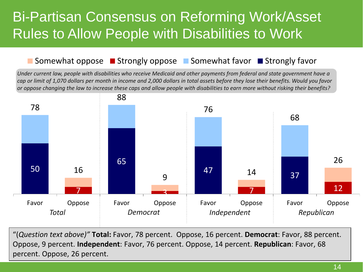### Bi-Partisan Consensus on Reforming Work/Asset Rules to Allow People with Disabilities to Work

#### Somewhat oppose  $\blacksquare$  Strongly oppose  $\blacksquare$  Somewhat favor  $\blacksquare$  Strongly favor

*Under current law, people with disabilities who receive Medicaid and other payments from federal and state government have a cap or limit of 1,070 dollars per month in income and 2,000 dollars in total assets before they lose their benefits. Would you favor or oppose changing the law to increase these caps and allow people with disabilities to earn more without risking their benefits?*



"(*Question text above)"* **Total:** Favor, 78 percent. Oppose, 16 percent. **Democrat**: Favor, 88 percent. Oppose, 9 percent. **Independent**: Favor, 76 percent. Oppose, 14 percent. **Republican**: Favor, 68 percent. Oppose, 26 percent.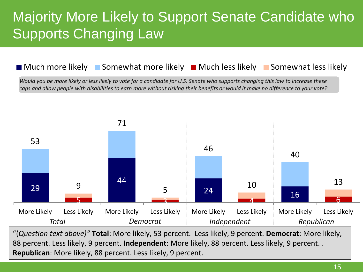### Majority More Likely to Support Senate Candidate who **Supports Changing Law**

#### **Much more likely Comewhat more likely Computer II Much less likely Comewhat less likely Computer**

*Would you be more likely or less likely to vote for a candidate for U.S. Senate who supports changing this law to increase these caps and allow people with disabilities to earn more without risking their benefits or would it make no difference to your vote?*



"(*Question text above)"* **Total**: More likely, 53 percent. Less likely, 9 percent. **Democrat**: More likely, 88 percent. Less likely, 9 percent. **Independent**: More likely, 88 percent. Less likely, 9 percent. . **Republican**: More likely, 88 percent. Less likely, 9 percent.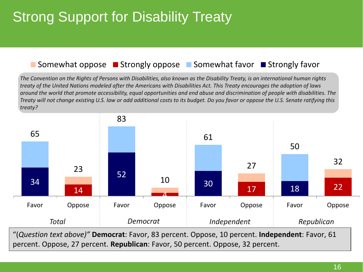## Strong Support for Disability Treaty

#### Somewhat oppose Strongly oppose Somewhat favor Strongly favor

*The Convention on the Rights of Persons with Disabilities, also known as the Disability Treaty, is an international human rights treaty of the United Nations modeled after the Americans with Disabilities Act. This Treaty encourages the adoption of laws around the world that promote accessibility, equal opportunities and end abuse and discrimination of people with disabilities. The Treaty will not change existing U.S. law or add additional costs to its budget. Do you favor or oppose the U.S. Senate ratifying this treaty?* 



"(*Question text above)"* **Democrat**: Favor, 83 percent. Oppose, 10 percent. **Independent**: Favor, 61 percent. Oppose, 27 percent. **Republican**: Favor, 50 percent. Oppose, 32 percent.